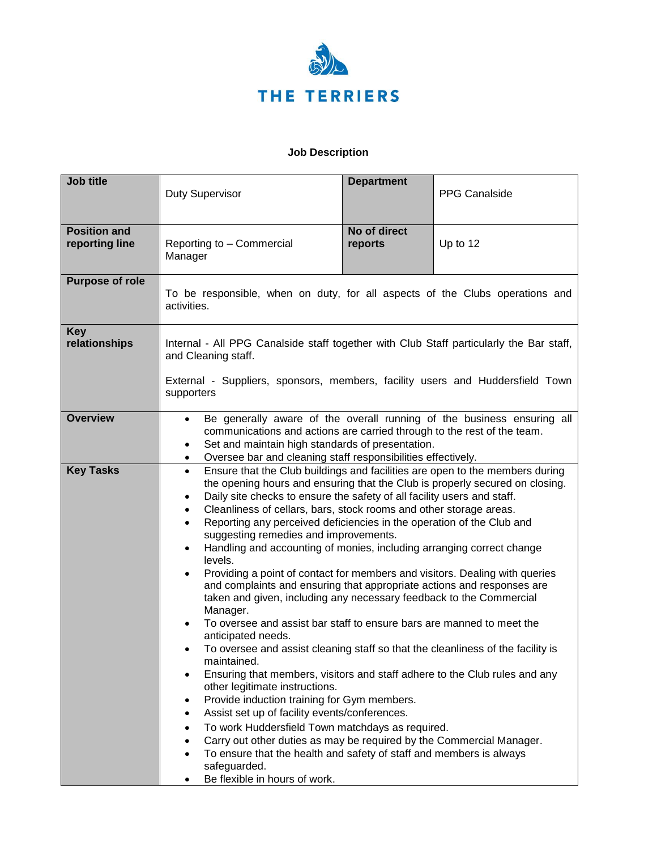

## **Job Description**

| <b>Job title</b>                      | <b>Duty Supervisor</b>                                                                                                                                                                                                                                                                                                                                                                                                                                                                                                                                                                                                                                                                                                                                                                                                                                                                                                                                                                                                                                                                                                                                                                                                                                                                                                                                                                                                                                                                                                          | <b>Department</b>       | <b>PPG Canalside</b> |
|---------------------------------------|---------------------------------------------------------------------------------------------------------------------------------------------------------------------------------------------------------------------------------------------------------------------------------------------------------------------------------------------------------------------------------------------------------------------------------------------------------------------------------------------------------------------------------------------------------------------------------------------------------------------------------------------------------------------------------------------------------------------------------------------------------------------------------------------------------------------------------------------------------------------------------------------------------------------------------------------------------------------------------------------------------------------------------------------------------------------------------------------------------------------------------------------------------------------------------------------------------------------------------------------------------------------------------------------------------------------------------------------------------------------------------------------------------------------------------------------------------------------------------------------------------------------------------|-------------------------|----------------------|
| <b>Position and</b><br>reporting line | Reporting to - Commercial<br>Manager                                                                                                                                                                                                                                                                                                                                                                                                                                                                                                                                                                                                                                                                                                                                                                                                                                                                                                                                                                                                                                                                                                                                                                                                                                                                                                                                                                                                                                                                                            | No of direct<br>reports | Up to 12             |
| <b>Purpose of role</b>                | To be responsible, when on duty, for all aspects of the Clubs operations and<br>activities.                                                                                                                                                                                                                                                                                                                                                                                                                                                                                                                                                                                                                                                                                                                                                                                                                                                                                                                                                                                                                                                                                                                                                                                                                                                                                                                                                                                                                                     |                         |                      |
| <b>Key</b><br>relationships           | Internal - All PPG Canalside staff together with Club Staff particularly the Bar staff,<br>and Cleaning staff.<br>External - Suppliers, sponsors, members, facility users and Huddersfield Town<br>supporters                                                                                                                                                                                                                                                                                                                                                                                                                                                                                                                                                                                                                                                                                                                                                                                                                                                                                                                                                                                                                                                                                                                                                                                                                                                                                                                   |                         |                      |
| <b>Overview</b>                       | Be generally aware of the overall running of the business ensuring all<br>$\bullet$<br>communications and actions are carried through to the rest of the team.<br>Set and maintain high standards of presentation.<br>٠<br>Oversee bar and cleaning staff responsibilities effectively.<br>$\bullet$                                                                                                                                                                                                                                                                                                                                                                                                                                                                                                                                                                                                                                                                                                                                                                                                                                                                                                                                                                                                                                                                                                                                                                                                                            |                         |                      |
| <b>Key Tasks</b>                      | Ensure that the Club buildings and facilities are open to the members during<br>$\bullet$<br>the opening hours and ensuring that the Club is properly secured on closing.<br>Daily site checks to ensure the safety of all facility users and staff.<br>$\bullet$<br>Cleanliness of cellars, bars, stock rooms and other storage areas.<br>$\bullet$<br>Reporting any perceived deficiencies in the operation of the Club and<br>$\bullet$<br>suggesting remedies and improvements.<br>Handling and accounting of monies, including arranging correct change<br>$\bullet$<br>levels.<br>Providing a point of contact for members and visitors. Dealing with queries<br>$\bullet$<br>and complaints and ensuring that appropriate actions and responses are<br>taken and given, including any necessary feedback to the Commercial<br>Manager.<br>To oversee and assist bar staff to ensure bars are manned to meet the<br>$\bullet$<br>anticipated needs.<br>To oversee and assist cleaning staff so that the cleanliness of the facility is<br>maintained.<br>Ensuring that members, visitors and staff adhere to the Club rules and any<br>other legitimate instructions.<br>Provide induction training for Gym members.<br>Assist set up of facility events/conferences.<br>To work Huddersfield Town matchdays as required.<br>Carry out other duties as may be required by the Commercial Manager.<br>To ensure that the health and safety of staff and members is always<br>safeguarded.<br>Be flexible in hours of work. |                         |                      |